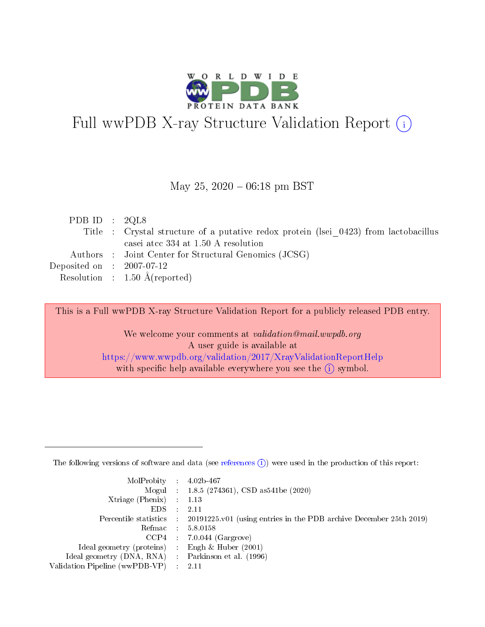

# Full wwPDB X-ray Structure Validation Report (i)

### May 25,  $2020 - 06:18$  pm BST

| PDB ID : $2QL8$             |                                                                                      |
|-----------------------------|--------------------------------------------------------------------------------------|
|                             | Title : Crystal structure of a putative redox protein (lsei 0423) from lactobacillus |
|                             | casei atcc 334 at 1.50 A resolution                                                  |
|                             | Authors : Joint Center for Structural Genomics (JCSG)                                |
| Deposited on : $2007-07-12$ |                                                                                      |
|                             | Resolution : $1.50 \text{ Å}$ (reported)                                             |

This is a Full wwPDB X-ray Structure Validation Report for a publicly released PDB entry.

We welcome your comments at validation@mail.wwpdb.org A user guide is available at <https://www.wwpdb.org/validation/2017/XrayValidationReportHelp> with specific help available everywhere you see the  $(i)$  symbol.

The following versions of software and data (see [references](https://www.wwpdb.org/validation/2017/XrayValidationReportHelp#references)  $(1)$ ) were used in the production of this report:

| $MolProbability$ 4.02b-467                          |               |                                                                                            |
|-----------------------------------------------------|---------------|--------------------------------------------------------------------------------------------|
|                                                     |               | Mogul : $1.8.5$ (274361), CSD as 541be (2020)                                              |
| Xtriage (Phenix) $: 1.13$                           |               |                                                                                            |
| EDS.                                                | $\mathcal{L}$ | -2.11                                                                                      |
|                                                     |               | Percentile statistics : 20191225.v01 (using entries in the PDB archive December 25th 2019) |
|                                                     |               | Refmac $5.8.0158$                                                                          |
| CCP4                                                |               | $7.0.044$ (Gargrove)                                                                       |
| Ideal geometry (proteins)                           | $\sim$        | Engh $\&$ Huber (2001)                                                                     |
| Ideal geometry (DNA, RNA) : Parkinson et al. (1996) |               |                                                                                            |
| Validation Pipeline (wwPDB-VP) : 2.11               |               |                                                                                            |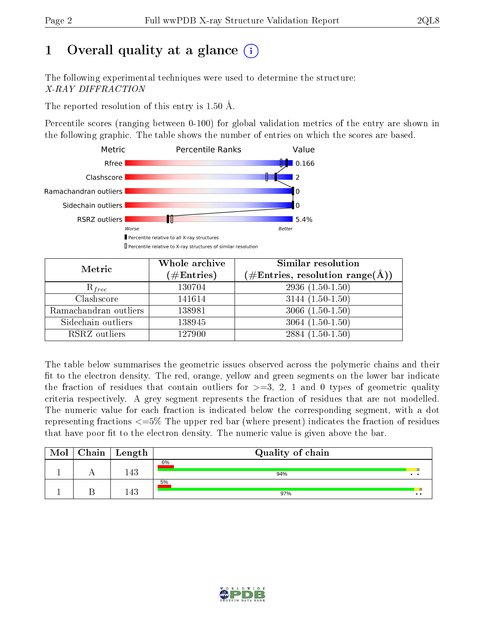# 1 [O](https://www.wwpdb.org/validation/2017/XrayValidationReportHelp#overall_quality)verall quality at a glance  $(i)$

The following experimental techniques were used to determine the structure: X-RAY DIFFRACTION

The reported resolution of this entry is 1.50 Å.

Percentile scores (ranging between 0-100) for global validation metrics of the entry are shown in the following graphic. The table shows the number of entries on which the scores are based.



| Metric                | Whole archive<br>$(\#\text{Entries})$ | Similar resolution<br>(#Entries, resolution range( $\AA$ )) |
|-----------------------|---------------------------------------|-------------------------------------------------------------|
| $R_{free}$            | 130704                                | $2936(1.50-1.50)$                                           |
| Clashscore            | 141614                                | $3144(1.50-1.50)$                                           |
| Ramachandran outliers | 138981                                | $3066(1.50-1.50)$                                           |
| Sidechain outliers    | 138945                                | $3064(1.50-1.50)$                                           |
| RSRZ outliers         | 127900                                | $2884(1.50-1.50)$                                           |

The table below summarises the geometric issues observed across the polymeric chains and their fit to the electron density. The red, orange, yellow and green segments on the lower bar indicate the fraction of residues that contain outliers for  $>=3, 2, 1$  and 0 types of geometric quality criteria respectively. A grey segment represents the fraction of residues that are not modelled. The numeric value for each fraction is indicated below the corresponding segment, with a dot representing fractions  $\epsilon=5\%$  The upper red bar (where present) indicates the fraction of residues that have poor fit to the electron density. The numeric value is given above the bar.

| Mol | Chain   Length | Quality of chain |              |  |
|-----|----------------|------------------|--------------|--|
|     | 143            | 6%<br>94%        | . .          |  |
|     | 143            | 5%<br>97%        | $\cdot\cdot$ |  |

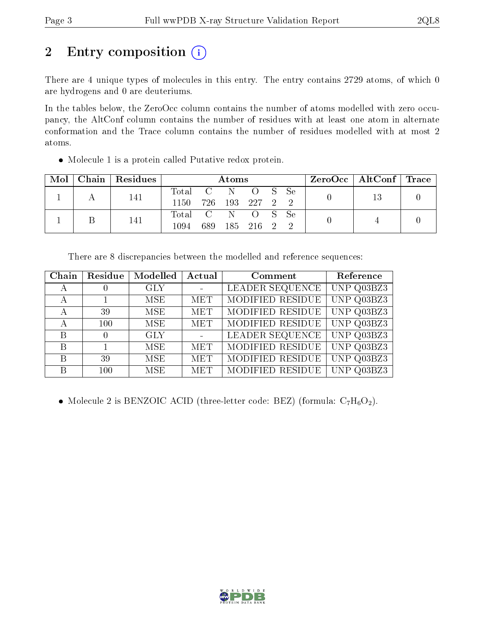# 2 Entry composition  $\left( \cdot \right)$

There are 4 unique types of molecules in this entry. The entry contains 2729 atoms, of which 0 are hydrogens and 0 are deuteriums.

In the tables below, the ZeroOcc column contains the number of atoms modelled with zero occupancy, the AltConf column contains the number of residues with at least one atom in alternate conformation and the Trace column contains the number of residues modelled with at most 2 atoms.

Molecule 1 is a protein called Putative redox protein.

| Mol | Chain   Residues | Atoms                                    |     |  |           |  | $ZeroOcc \mid AltConf \mid Trace$ |  |  |
|-----|------------------|------------------------------------------|-----|--|-----------|--|-----------------------------------|--|--|
|     | 141              | Total C N O S Se<br>1150 726 193 227 2 2 |     |  |           |  |                                   |  |  |
|     | 141              | Total C N O S Se<br>$1094\,$             | 689 |  | 185 216 2 |  |                                   |  |  |

There are 8 discrepancies between the modelled and reference sequences:

| Chain        | Residue | Modelled   | Actual     | Comment          | Reference  |
|--------------|---------|------------|------------|------------------|------------|
| A            |         | <b>GLY</b> |            | LEADER SEQUENCE  | UNP Q03BZ3 |
| $\mathsf{A}$ |         | <b>MSE</b> | <b>MET</b> | MODIFIED RESIDUE | UNP Q03BZ3 |
| А            | 39      | <b>MSE</b> | <b>MET</b> | MODIFIED RESIDUE | UNP Q03BZ3 |
| А            | 100     | <b>MSE</b> | <b>MET</b> | MODIFIED RESIDUE | UNP Q03BZ3 |
| B            |         | <b>GLY</b> |            | LEADER SEQUENCE  | UNP Q03BZ3 |
| B            |         | <b>MSE</b> | <b>MET</b> | MODIFIED RESIDUE | UNP Q03BZ3 |
| B            | 39      | <b>MSE</b> | <b>MET</b> | MODIFIED RESIDUE | UNP Q03BZ3 |
| B            | 100     | <b>MSE</b> | <b>MET</b> | MODIFIED RESIDUE | Q03BZ3     |

• Molecule 2 is BENZOIC ACID (three-letter code: BEZ) (formula:  $C_7H_6O_2$ ).

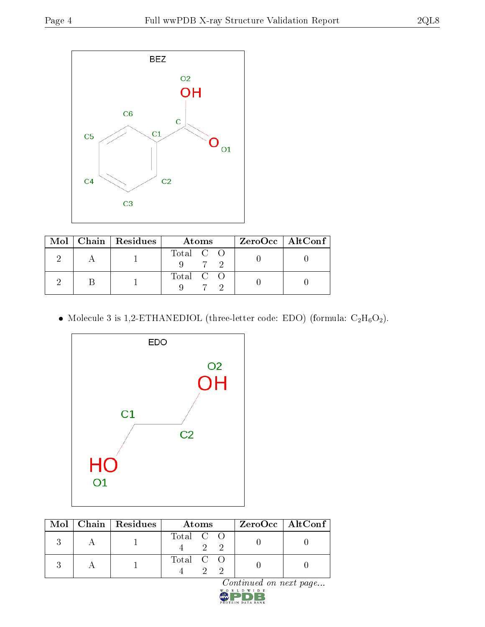

|  | Mol   Chain   Residues | Atoms     | ZeroOcc   AltConf |
|--|------------------------|-----------|-------------------|
|  |                        | Total C O |                   |
|  |                        |           |                   |
|  |                        | Total C O |                   |
|  |                        |           |                   |

 $\bullet$  Molecule 3 is 1,2-ETHANEDIOL (three-letter code: EDO) (formula:  $\rm{C_2H_6O_2}).$ 



|  | Mol   Chain   Residues | Atoms     | ZeroOcc   AltConf |
|--|------------------------|-----------|-------------------|
|  |                        | Total C O |                   |
|  |                        | Total C O |                   |

 $Continued on next page...$ 

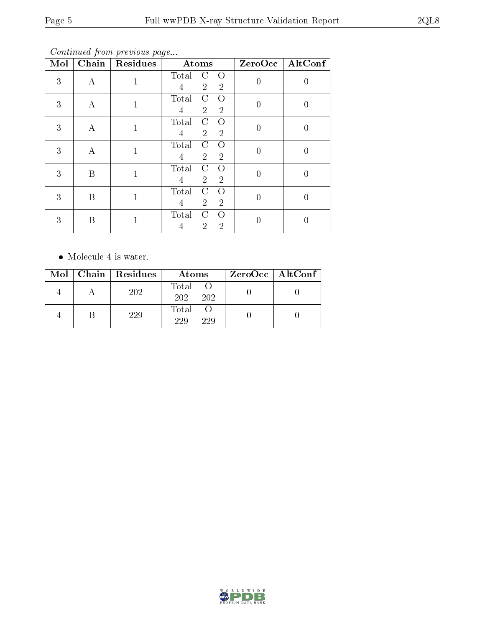Continued from previous page...

| Mol | $\overline{\text{Chain}}$ | Residues     | Atoms                                                                        | ZeroOcc          | AltConf          |
|-----|---------------------------|--------------|------------------------------------------------------------------------------|------------------|------------------|
| 3   | A                         | $\mathbf{1}$ | Total<br>$\Omega$<br>C<br>$\overline{2}$<br>$\overline{2}$<br>4              | $\overline{0}$   | $\left( \right)$ |
| 3   | A                         | $\mathbf{1}$ | $\rm C$<br>Total<br>$\Omega$<br>$\overline{2}$<br>$\overline{2}$<br>4        | $\boldsymbol{0}$ | 0                |
| 3   | A                         | $\mathbf{1}$ | $\Omega$<br>Total<br>С<br>$\overline{4}$<br>$\overline{2}$<br>$\overline{2}$ | $\overline{0}$   | 0                |
| 3   | A                         | $\mathbf{1}$ | Total<br>C<br>$\Omega$<br>$\overline{2}$<br>$\overline{4}$<br>$\overline{2}$ | $\overline{0}$   | 0                |
| 3   | Β                         | $\mathbf{1}$ | Total<br>$\mathcal{C}$<br>$\Omega$<br>$\overline{2}$<br>$\overline{2}$<br>4  | $\boldsymbol{0}$ | 0                |
| 3   | Β                         | 1            | Total<br>C<br>$\Omega$<br>$\overline{2}$<br>$\overline{2}$<br>4              | $\overline{0}$   | 0                |
| 3   | B                         |              | Total<br>C<br>$\Omega$<br>$\overline{2}$<br>$\overline{2}$<br>4              | $\left( \right)$ | ( )              |

Molecule 4 is water.

|  | Mol   Chain   Residues | Atoms               | $ZeroOcc$   AltConf |
|--|------------------------|---------------------|---------------------|
|  | 202                    | Total<br>202<br>202 |                     |
|  | 229                    | Total<br>229<br>229 |                     |

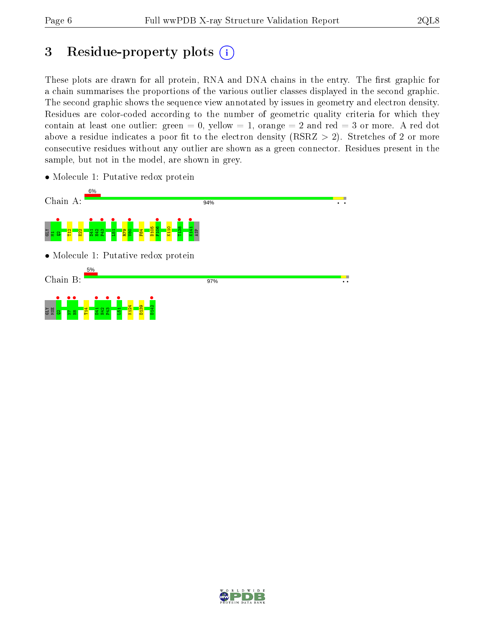# 3 Residue-property plots  $(i)$

These plots are drawn for all protein, RNA and DNA chains in the entry. The first graphic for a chain summarises the proportions of the various outlier classes displayed in the second graphic. The second graphic shows the sequence view annotated by issues in geometry and electron density. Residues are color-coded according to the number of geometric quality criteria for which they contain at least one outlier: green  $= 0$ , yellow  $= 1$ , orange  $= 2$  and red  $= 3$  or more. A red dot above a residue indicates a poor fit to the electron density (RSRZ  $> 2$ ). Stretches of 2 or more consecutive residues without any outlier are shown as a green connector. Residues present in the sample, but not in the model, are shown in grey.

• Molecule 1: Putative redox protein



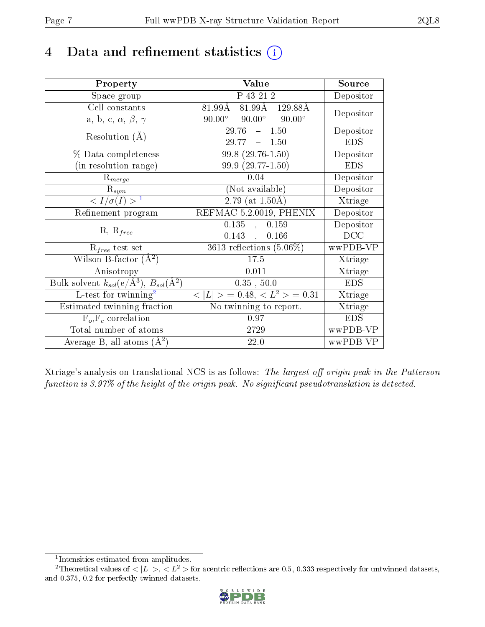# 4 Data and refinement statistics  $(i)$

| Property                                                         | Value                                            | Source     |
|------------------------------------------------------------------|--------------------------------------------------|------------|
| Space group                                                      | P 43 21 2                                        | Depositor  |
| Cell constants                                                   | 81.99Å 129.88Å<br>$81.99\rm\AA$                  | Depositor  |
| a, b, c, $\alpha$ , $\beta$ , $\gamma$                           | $90.00^{\circ}$ $90.00^{\circ}$<br>$90.00^\circ$ |            |
| Resolution $(A)$                                                 | $29.76 - 1.50$                                   | Depositor  |
|                                                                  | $29.77 - 1.50$                                   | <b>EDS</b> |
| % Data completeness                                              | $99.8(29.76-1.50)$                               | Depositor  |
| (in resolution range)                                            | $99.9(29.77-1.50)$                               | <b>EDS</b> |
| $R_{merge}$                                                      | 0.04                                             | Depositor  |
| $\mathrm{R}_{sym}$                                               | (Not available)                                  | Depositor  |
| $\langle I/\sigma(I) \rangle^{-1}$                               | $2.79$ (at 1.50Å)                                | Xtriage    |
| Refinement program                                               | REFMAC 5.2.0019, PHENIX                          | Depositor  |
|                                                                  | 0.135<br>0.159<br>$\mathbf{A}$                   | Depositor  |
| $R, R_{free}$                                                    | 0.143,<br>0.166                                  | DCC        |
| $\mathcal{R}_{free}$ test set                                    | $3613$ reflections $(5.06\%)$                    | wwPDB-VP   |
| Wilson B-factor $(A^2)$                                          | 17.5                                             | Xtriage    |
| Anisotropy                                                       | 0.011                                            | Xtriage    |
| Bulk solvent $k_{sol}(\text{e}/\text{A}^3), B_{sol}(\text{A}^2)$ | 0.35, 50.0                                       | <b>EDS</b> |
| L-test for twinning <sup>2</sup>                                 | $< L >$ = 0.48, $< L2 >$ = 0.31                  | Xtriage    |
| Estimated twinning fraction                                      | No twinning to report.                           | Xtriage    |
| $F_o, F_c$ correlation                                           | 0.97                                             | <b>EDS</b> |
| Total number of atoms                                            | 2729                                             | wwPDB-VP   |
| Average B, all atoms $(A^2)$                                     | 22.0                                             | wwPDB-VP   |

Xtriage's analysis on translational NCS is as follows: The largest off-origin peak in the Patterson function is  $3.97\%$  of the height of the origin peak. No significant pseudotranslation is detected.

<sup>&</sup>lt;sup>2</sup>Theoretical values of  $\langle |L| \rangle$ ,  $\langle L^2 \rangle$  for acentric reflections are 0.5, 0.333 respectively for untwinned datasets, and 0.375, 0.2 for perfectly twinned datasets.



<span id="page-6-1"></span><span id="page-6-0"></span><sup>1</sup> Intensities estimated from amplitudes.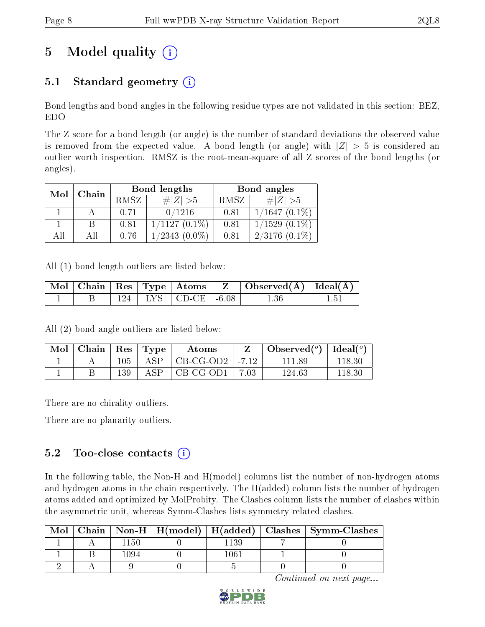# 5 Model quality  $(i)$

# 5.1 Standard geometry  $(i)$

Bond lengths and bond angles in the following residue types are not validated in this section: BEZ, EDO

The Z score for a bond length (or angle) is the number of standard deviations the observed value is removed from the expected value. A bond length (or angle) with  $|Z| > 5$  is considered an outlier worth inspection. RMSZ is the root-mean-square of all Z scores of the bond lengths (or angles).

| Mol | Chain |       | Bond lengths       | Bond angles |                     |  |
|-----|-------|-------|--------------------|-------------|---------------------|--|
|     |       | RMSZ  | $\# Z >5$          | RMSZ        | # $ Z  > 5$         |  |
|     |       | 0.71  | 0/1216             | 0.81        | $1/1647(0.1\%)$     |  |
|     |       | 0.81  | $1/1127(0.1\%)$    | 0.81        | $1/1529(0.1\%)$     |  |
| AH  |       | 0. 76 | $1/2343$ $(0.0\%)$ | 0.81        | $(0.1\%)$<br>2/3176 |  |

All (1) bond length outliers are listed below:

|  |  |                             | $\mid$ Mol $\mid$ Chain $\mid$ Res $\mid$ Type $\mid$ Atoms $\mid$ $\mid$ Z $\mid$ Observed(A) $\mid$ Ideal(A) $\mid$ |  |
|--|--|-----------------------------|-----------------------------------------------------------------------------------------------------------------------|--|
|  |  | $124$   LYS   CD-CE   -6.08 |                                                                                                                       |  |

All (2) bond angle outliers are listed below:

| Mol | $\vert$ Chain $\vert$ Res $\vert$ Type |         |      | Atoms                           |      | Observed( $^o$ )   Ideal( $^o$ ) |        |
|-----|----------------------------------------|---------|------|---------------------------------|------|----------------------------------|--------|
|     |                                        | $105\,$ | A SP | $\vert$ CB-CG-OD2 $\vert$ -7.12 |      | 111 89                           | 118.30 |
|     |                                        | 139     | A SP | CB-CG-OD1                       | 7.03 | 124.63                           | 118.30 |

There are no chirality outliers.

There are no planarity outliers.

### 5.2 Too-close contacts  $(i)$

In the following table, the Non-H and H(model) columns list the number of non-hydrogen atoms and hydrogen atoms in the chain respectively. The H(added) column lists the number of hydrogen atoms added and optimized by MolProbity. The Clashes column lists the number of clashes within the asymmetric unit, whereas Symm-Clashes lists symmetry related clashes.

| Mol |      |              | Chain   Non-H   H(model)   H(added)   Clashes   Symm-Clashes |
|-----|------|--------------|--------------------------------------------------------------|
|     | 150  |              |                                                              |
|     | 1094 | $06^{\circ}$ |                                                              |
|     |      |              |                                                              |

Continued on next page...

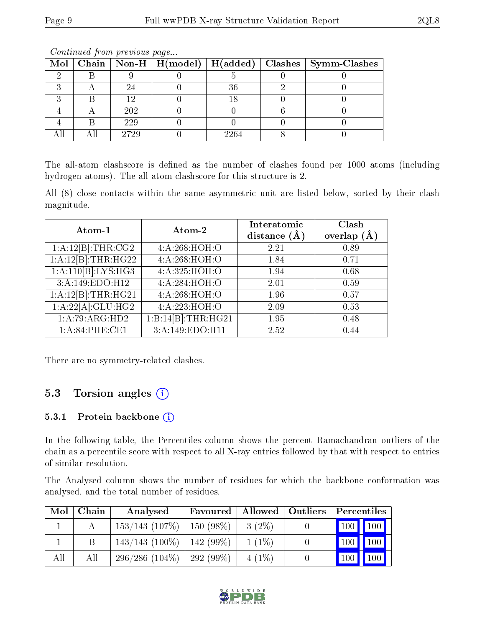|  |      |      | Mol   Chain   Non-H   H(model)   H(added)   Clashes   Symm-Clashes |
|--|------|------|--------------------------------------------------------------------|
|  |      |      |                                                                    |
|  |      | 36   |                                                                    |
|  | 1 ດ  |      |                                                                    |
|  | 202  |      |                                                                    |
|  | 229  |      |                                                                    |
|  | 2729 | 2264 |                                                                    |

Continued from previous page...

The all-atom clashscore is defined as the number of clashes found per 1000 atoms (including hydrogen atoms). The all-atom clashscore for this structure is 2.

All (8) close contacts within the same asymmetric unit are listed below, sorted by their clash magnitude.

| Atom-1             | Atom-2                          | Interatomic<br>distance $(A)$ | Clash<br>overlap $(A)$ |
|--------------------|---------------------------------|-------------------------------|------------------------|
| 1:A:12[B]:THR:CG2  | 4:A:268:HOH:O                   | 2.21                          | 0.89                   |
| 1:A:12[B]:THR:HG22 | 4:A:268:HOH:O                   | 1.84                          | 0.71                   |
| 1:A:110[B]:LYS:HG3 | 4:A:325:HOH:O                   | 1.94                          | 0.68                   |
| 3:A:149:EDO:H12    | 4:A:284:HOH:O                   | 2.01                          | 0.59                   |
| 1:A:12[B]:THR:HG21 | 4:A:268:HOH:O                   | 1.96                          | 0.57                   |
| 1:A:22[A]:GLU:HG2  | 4:A:223:HOH:O                   | 2.09                          | 0.53                   |
| 1:A:79:ARG:HD2     | $1:B:14[B]:\overline{THR:HG21}$ | 1.95                          | 0.48                   |
| 1: A:84:PHE:CE1    | 3:A:149:EDO:H11                 | 2.52                          | 0.44                   |

There are no symmetry-related clashes.

# 5.3 Torsion angles  $(i)$

#### 5.3.1 Protein backbone (i)

In the following table, the Percentiles column shows the percent Ramachandran outliers of the chain as a percentile score with respect to all X-ray entries followed by that with respect to entries of similar resolution.

The Analysed column shows the number of residues for which the backbone conformation was analysed, and the total number of residues.

| Mol | Chain | Analysed          | Favoured    | Allowed   Outliers | Percentiles |               |
|-----|-------|-------------------|-------------|--------------------|-------------|---------------|
|     |       | $153/143$ (107\%) | $150(98\%)$ | $3(2\%)$           |             | 100     100   |
|     |       | $143/143$ (100\%) | $142(99\%)$ | $1(1\%)$           |             | $100$   $100$ |
| All | Αll   | $296/286(104\%)$  | 292 (99%)   | $4(1\%)$           | 100         | 100           |

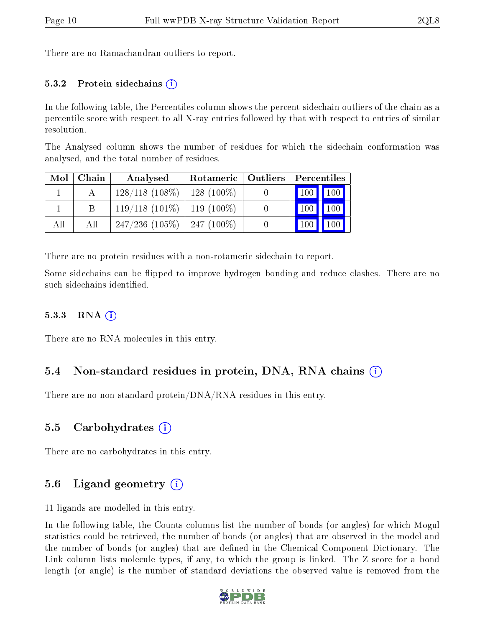There are no Ramachandran outliers to report.

#### 5.3.2 Protein sidechains  $(i)$

In the following table, the Percentiles column shows the percent sidechain outliers of the chain as a percentile score with respect to all X-ray entries followed by that with respect to entries of similar resolution.

The Analysed column shows the number of residues for which the sidechain conformation was analysed, and the total number of residues.

| Mol | Chain | Analysed                        | Rotameric   Outliers | Percentiles |                     |
|-----|-------|---------------------------------|----------------------|-------------|---------------------|
|     |       | $128/118$ (108\%)   128 (100\%) |                      | 100 100     |                     |
|     |       | $119/118$ (101\%)   119 (100\%) |                      | 100 100     |                     |
| All | All   | $247/236$ (105\%)   247 (100\%) |                      | 100         | $\vert$ 100 $\vert$ |

There are no protein residues with a non-rotameric sidechain to report.

Some sidechains can be flipped to improve hydrogen bonding and reduce clashes. There are no such sidechains identified.

#### $5.3.3$  RNA  $(i)$

There are no RNA molecules in this entry.

### 5.4 Non-standard residues in protein, DNA, RNA chains (i)

There are no non-standard protein/DNA/RNA residues in this entry.

#### 5.5 Carbohydrates  $\hat{1}$

There are no carbohydrates in this entry.

### 5.6 Ligand geometry  $(i)$

11 ligands are modelled in this entry.

In the following table, the Counts columns list the number of bonds (or angles) for which Mogul statistics could be retrieved, the number of bonds (or angles) that are observed in the model and the number of bonds (or angles) that are defined in the Chemical Component Dictionary. The Link column lists molecule types, if any, to which the group is linked. The Z score for a bond length (or angle) is the number of standard deviations the observed value is removed from the

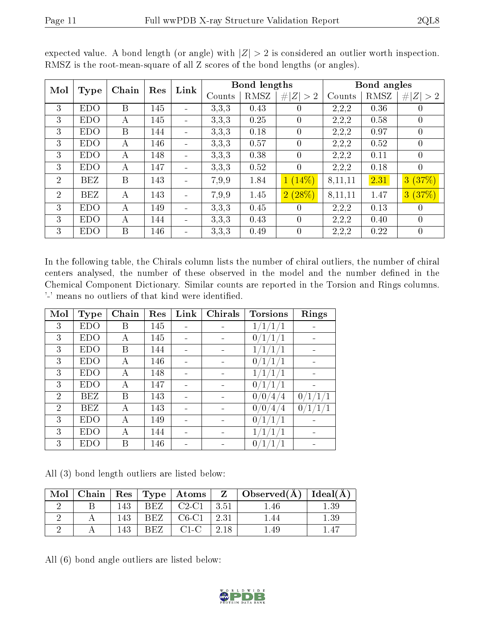| Mol            |             | Chain | Res | Link                         |        | Bond lengths |                |         | Bond angles |                |
|----------------|-------------|-------|-----|------------------------------|--------|--------------|----------------|---------|-------------|----------------|
|                | <b>Type</b> |       |     |                              | Counts | RMSZ         | Z   > 2        | Counts  | RMSZ        | # $ Z  > 2$    |
| $\mathcal{E}$  | <b>EDO</b>  | B     | 145 | $\blacksquare$               | 3.3.3  | 0.43         | 0              | 2,2,2   | 0.36        | $\theta$       |
| 3              | <b>EDO</b>  | А     | 145 | $\blacksquare$               | 3,3,3  | 0.25         | $\theta$       | 2,2,2   | 0.58        | $\overline{0}$ |
| 3              | <b>EDO</b>  | B     | 144 | $\qquad \qquad \blacksquare$ | 3.3.3  | 0.18         | $\theta$       | 2,2,2   | 0.97        | $\overline{0}$ |
| 3              | <b>EDO</b>  | А     | 146 | $\overline{\phantom{0}}$     | 3,3,3  | 0.57         | $\overline{0}$ | 2,2,2   | 0.52        | $\overline{0}$ |
| 3              | <b>EDO</b>  | А     | 148 | $\qquad \qquad$              | 3,3,3  | 0.38         | $\theta$       | 2,2,2   | 0.11        | $\overline{0}$ |
| 3              | <b>EDO</b>  | A     | 147 | $\blacksquare$               | 3.3.3  | 0.52         | $\theta$       | 2,2,2   | 0.18        | $\overline{0}$ |
| $\overline{2}$ | <b>BEZ</b>  | B     | 143 | $\qquad \qquad \blacksquare$ | 7,9,9  | 1.84         | 1(14%)         | 8,11,11 | 2.31        | 3(37%)         |
| $\overline{2}$ | <b>BEZ</b>  | А     | 143 | $\equiv$                     | 7,9,9  | 1.45         | 2(28%)         | 8,11,11 | 1.47        | 3(37%)         |
| $\mathcal{E}$  | <b>EDO</b>  | А     | 149 | $\blacksquare$               | 3.3.3  | 0.45         | 0              | 2,2,2   | 0.13        | $\overline{0}$ |
| $\mathcal{E}$  | <b>EDO</b>  | А     | 144 | $\blacksquare$               | 3.3.3  | 0.43         | $\theta$       | 2,2,2   | 0.40        | $\overline{0}$ |
| 3              | <b>EDO</b>  | B     | 146 |                              | 3.3.3  | 0.49         | $\theta$       | 2,2,2   | 0.22        | $\overline{0}$ |

expected value. A bond length (or angle) with  $|Z| > 2$  is considered an outlier worth inspection. RMSZ is the root-mean-square of all Z scores of the bond lengths (or angles).

In the following table, the Chirals column lists the number of chiral outliers, the number of chiral centers analysed, the number of these observed in the model and the number defined in the Chemical Component Dictionary. Similar counts are reported in the Torsion and Rings columns. '-' means no outliers of that kind were identified.

| Mol            | <b>Type</b> | Chain | Res | Link | Chirals | <b>Torsions</b>                                         | Rings |
|----------------|-------------|-------|-----|------|---------|---------------------------------------------------------|-------|
| 3              | <b>EDO</b>  | Β     | 145 |      |         | $1\,$                                                   |       |
| 3              | <b>EDO</b>  | А     | 145 |      |         | 0                                                       |       |
| 3              | <b>EDO</b>  | B     | 144 |      |         |                                                         |       |
| 3              | <b>EDO</b>  | А     | 146 |      |         | 0                                                       |       |
| 3              | <b>EDO</b>  | А     | 148 |      |         | $1\,$                                                   |       |
| 3              | <b>EDO</b>  | А     | 147 |      |         | 0                                                       |       |
| $\overline{2}$ | BEZ         | В     | 143 |      |         | 0<br>Ό.<br>4 <sub>1</sub>                               | 0     |
| $\overline{2}$ | BEZ         | А     | 143 |      |         | $0_{\scriptscriptstyle \perp}$<br>$^{\prime}0$ .<br>4/4 | $0$ / |
| 3              | <b>EDO</b>  | А     | 149 |      |         | 0                                                       |       |
| 3              | <b>EDO</b>  | А     | 144 |      |         |                                                         |       |
| 3              | <b>EDO</b>  | B     | 146 |      |         | 0                                                       |       |

All (3) bond length outliers are listed below:

| Mol |     |      |         |       | $\mid$ Chain $\mid$ Res $\mid$ Type $\mid$ Atoms $\mid$ Z $\mid$ Observed(A) $\mid$ Ideal(A) |          |
|-----|-----|------|---------|-------|----------------------------------------------------------------------------------------------|----------|
|     | 43  | REZ. | $C2-C1$ | 3.51  | $1.46\,$                                                                                     | . .39    |
|     | 143 | BEZ. | C6-C1   | -2.31 | .44                                                                                          | $1.39\,$ |
|     | 43  | RFZ  | $C1-C$  | 2.18  | .49                                                                                          |          |

All (6) bond angle outliers are listed below:

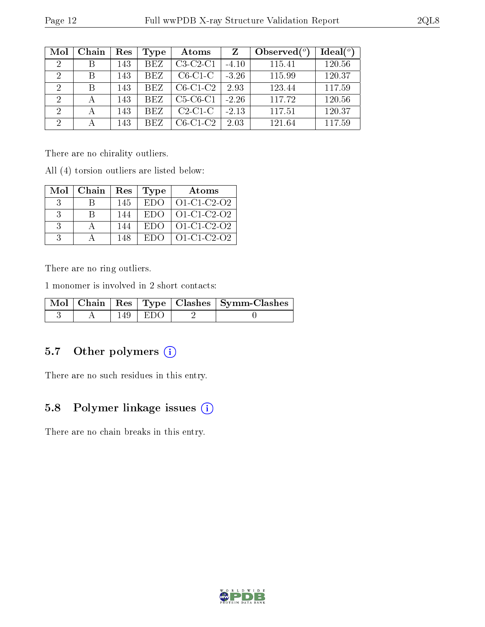|--|

| Mol            | Chain | Res | <b>Type</b> | Atoms      | Z       | Observed $(°)$ | Ideal $(^\circ)$ |
|----------------|-------|-----|-------------|------------|---------|----------------|------------------|
| 2              |       | 143 | <b>BEZ</b>  | $C3-C2-C1$ | $-4.10$ | 115.41         | 120.56           |
| $\overline{2}$ | B     | 143 | <b>BEZ</b>  | $C6-C1-C$  | $-3.26$ | 115.99         | 120.37           |
| $\mathcal{D}$  | B     | 143 | <b>BEZ</b>  | $C6-C1-C2$ | 2.93    | 123.44         | 117.59           |
| $\mathcal{D}$  |       | 143 | <b>BEZ</b>  | $C5-C6-C1$ | $-2.26$ | 117.72         | 120.56           |
| 2              | А     | 143 | <b>BEZ</b>  | $C2-C1-C$  | $-2.13$ | 117.51         | 120.37           |
| $\mathcal{D}$  |       | 143 | <b>BEZ</b>  | $C6-C1-C2$ | 2.03    | 121.64         | 117.59           |

There are no chirality outliers.

All (4) torsion outliers are listed below:

| Mol       | Chain | $\operatorname{Res}$ | Type | Atoms         |
|-----------|-------|----------------------|------|---------------|
| -3        |       | 145                  | EDO  | $O1-C1-C2-O2$ |
| $\cdot$   | В     | 144                  | EDO  | $O1-C1-C2-O2$ |
| -3        |       | 144                  | EDO  | O1-C1-C2-O2   |
| $\cdot$ 3 |       | 148                  | EDC. | $O1-C1-C2-O2$ |

There are no ring outliers.

1 monomer is involved in 2 short contacts:

|  |     |       | Mol   Chain   Res   Type   Clashes   Symm-Clashes |
|--|-----|-------|---------------------------------------------------|
|  | 149 | 1 EDO |                                                   |

# 5.7 [O](https://www.wwpdb.org/validation/2017/XrayValidationReportHelp#nonstandard_residues_and_ligands)ther polymers (i)

There are no such residues in this entry.

# 5.8 Polymer linkage issues (i)

There are no chain breaks in this entry.

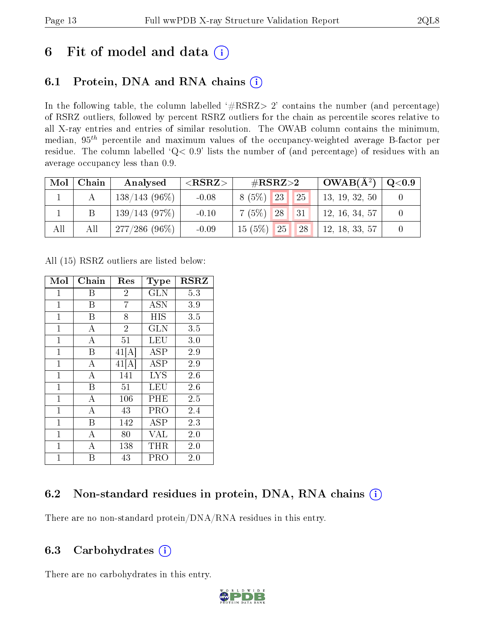# 6 Fit of model and data  $(i)$

# 6.1 Protein, DNA and RNA chains  $(i)$

In the following table, the column labelled  $#RSRZ> 2'$  contains the number (and percentage) of RSRZ outliers, followed by percent RSRZ outliers for the chain as percentile scores relative to all X-ray entries and entries of similar resolution. The OWAB column contains the minimum, median,  $95<sup>th</sup>$  percentile and maximum values of the occupancy-weighted average B-factor per residue. The column labelled ' $Q< 0.9$ ' lists the number of (and percentage) of residues with an average occupancy less than 0.9.

| Mol | Chain | Analysed        | ${ <\hspace{-1.5pt}{\mathrm{RSRZ}} \hspace{-1.5pt}>}$ | $\rm \#RSRZ{>}2$                   | $OWAB(A^2)$    | $\rm Q\textcolor{black}{<}0.9$ |
|-----|-------|-----------------|-------------------------------------------------------|------------------------------------|----------------|--------------------------------|
|     |       | $138/143(96\%)$ | $-0.08$                                               | $\mathbf{1}_{23}$ .<br>8(5%)<br>25 | 13, 19, 32, 50 |                                |
|     |       | 139/143(97%)    | $-0.10$                                               | $7(5%)$ 28<br>31                   | 12, 16, 34, 57 |                                |
| All | All   | $277/286(96\%)$ | $-0.09$                                               | 25 <br>$15(5\%)$<br>28             | 12, 18, 33, 57 |                                |

All (15) RSRZ outliers are listed below:

| Mol          | Chain            | Res            | <b>Type</b> | <b>RSRZ</b> |
|--------------|------------------|----------------|-------------|-------------|
| $\mathbf 1$  | B                | $\overline{2}$ | <b>GLN</b>  | 5.3         |
| $\mathbf 1$  | B                | 7              | <b>ASN</b>  | 3.9         |
| $\mathbf{1}$ | B                | 8              | <b>HIS</b>  | 3.5         |
| $\mathbf{1}$ | $\overline{A}$   | $\overline{2}$ | <b>GLN</b>  | 3.5         |
| $\mathbf{1}$ | $\boldsymbol{A}$ | 51             | LEU         | 3.0         |
| $\mathbf 1$  | B                | 41[A           | <b>ASP</b>  | 2.9         |
| $\mathbf 1$  | $\overline{A}$   | 41[A]          | <b>ASP</b>  | 2.9         |
| $\mathbf{1}$ | A                | 141            | <b>LYS</b>  | 2.6         |
| $\mathbf 1$  | B                | 51             | LEU         | 2.6         |
| $\mathbf{1}$ | $\boldsymbol{A}$ | 106            | PHE         | 2.5         |
| $\mathbf{1}$ | A                | 43             | PRO         | 2.4         |
| $\mathbf 1$  | B                | 142            | <b>ASP</b>  | 2.3         |
| $\mathbf{1}$ | $\boldsymbol{A}$ | 80             | <b>VAL</b>  | 2.0         |
| 1            | A                | 138            | THR         | 2.0         |
| $\mathbf 1$  | В                | 43             | PRO         | 2.0         |

# 6.2 Non-standard residues in protein, DNA, RNA chains (i)

There are no non-standard protein/DNA/RNA residues in this entry.

### 6.3 Carbohydrates  $(i)$

There are no carbohydrates in this entry.